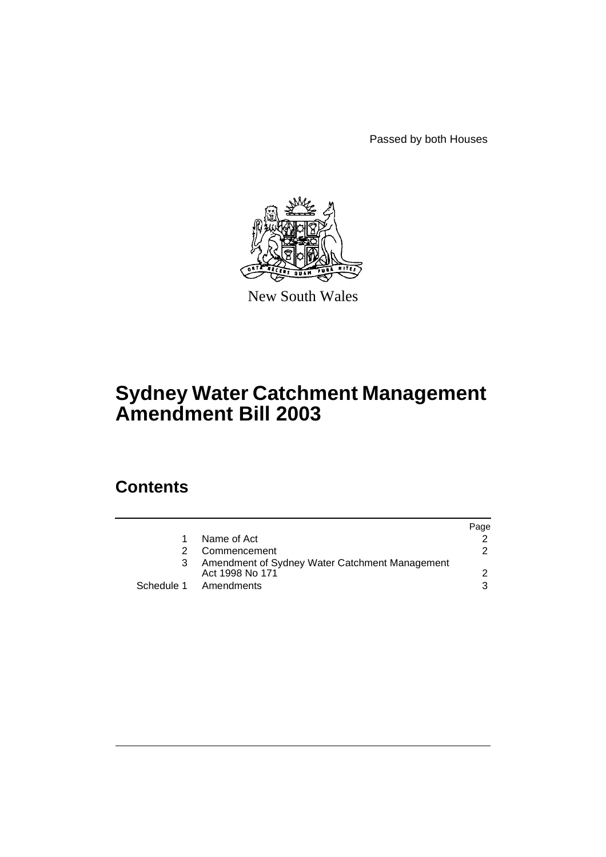Passed by both Houses



New South Wales

# **Sydney Water Catchment Management Amendment Bill 2003**

# **Contents**

|    |                                                                   | Page |
|----|-------------------------------------------------------------------|------|
| 1. | Name of Act                                                       |      |
| 2. | Commencement                                                      | 2    |
| 3  | Amendment of Sydney Water Catchment Management<br>Act 1998 No 171 |      |
|    | Schedule 1 Amendments                                             | 3    |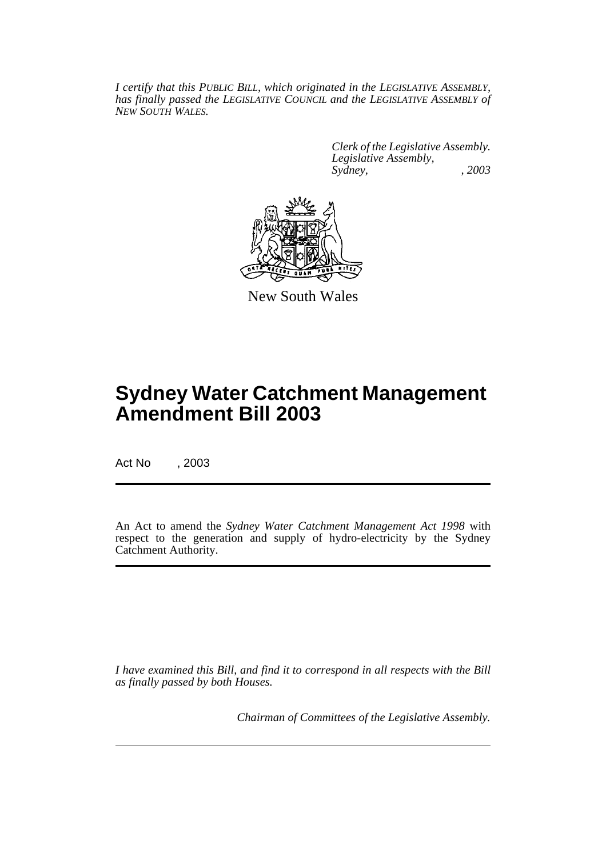*I certify that this PUBLIC BILL, which originated in the LEGISLATIVE ASSEMBLY, has finally passed the LEGISLATIVE COUNCIL and the LEGISLATIVE ASSEMBLY of NEW SOUTH WALES.*

> *Clerk of the Legislative Assembly. Legislative Assembly, Sydney, , 2003*



New South Wales

# **Sydney Water Catchment Management Amendment Bill 2003**

Act No , 2003

An Act to amend the *Sydney Water Catchment Management Act 1998* with respect to the generation and supply of hydro-electricity by the Sydney Catchment Authority.

*I have examined this Bill, and find it to correspond in all respects with the Bill as finally passed by both Houses.*

*Chairman of Committees of the Legislative Assembly.*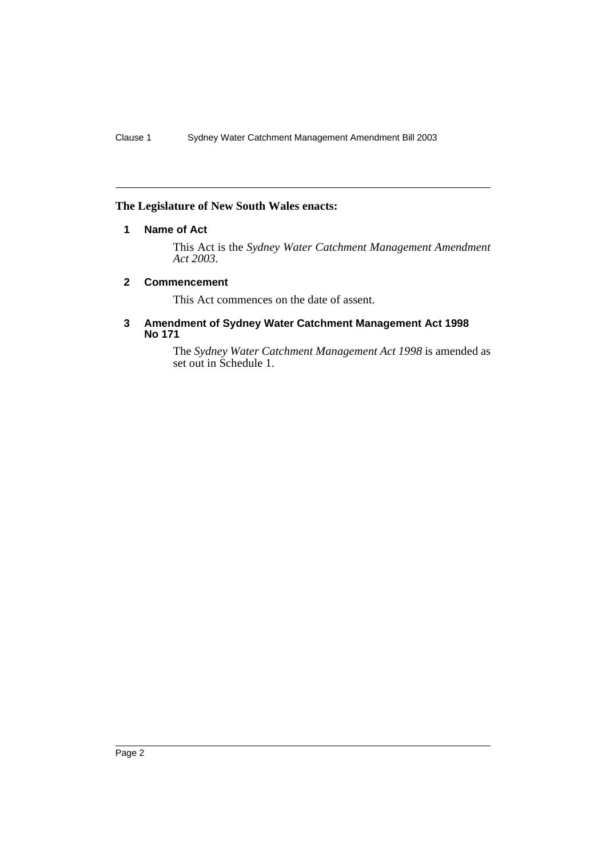### **The Legislature of New South Wales enacts:**

### **1 Name of Act**

This Act is the *Sydney Water Catchment Management Amendment Act 2003*.

#### **2 Commencement**

This Act commences on the date of assent.

#### **3 Amendment of Sydney Water Catchment Management Act 1998 No 171**

The *Sydney Water Catchment Management Act 1998* is amended as set out in Schedule 1.